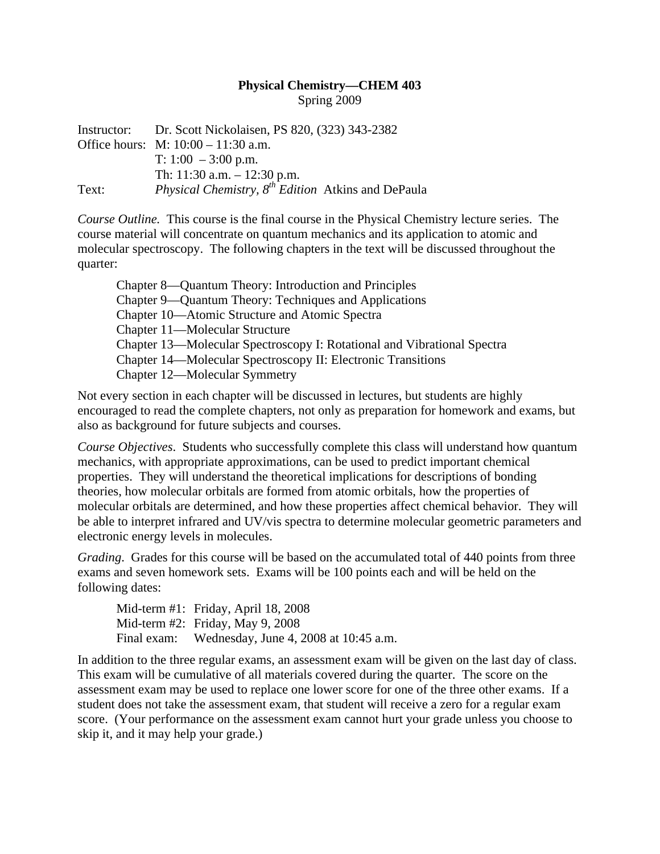## **Physical Chemistry—CHEM 403**  Spring 2009

Instructor: Dr. Scott Nickolaisen, PS 820, (323) 343-2382 Office hours: M: 10:00 – 11:30 a.m. T: 1:00 – 3:00 p.m. Th: 11:30 a.m. – 12:30 p.m. Text: *Physical Chemistry, 8th Edition* Atkins and DePaula

*Course Outline.* This course is the final course in the Physical Chemistry lecture series. The course material will concentrate on quantum mechanics and its application to atomic and molecular spectroscopy. The following chapters in the text will be discussed throughout the quarter:

| Chapter 8—Quantum Theory: Introduction and Principles                   |
|-------------------------------------------------------------------------|
| Chapter 9—Quantum Theory: Techniques and Applications                   |
| Chapter 10—Atomic Structure and Atomic Spectra                          |
| Chapter 11—Molecular Structure                                          |
| Chapter 13—Molecular Spectroscopy I: Rotational and Vibrational Spectra |
| Chapter 14—Molecular Spectroscopy II: Electronic Transitions            |
| Chapter 12—Molecular Symmetry                                           |

Not every section in each chapter will be discussed in lectures, but students are highly encouraged to read the complete chapters, not only as preparation for homework and exams, but also as background for future subjects and courses.

*Course Objectives*. Students who successfully complete this class will understand how quantum mechanics, with appropriate approximations, can be used to predict important chemical properties. They will understand the theoretical implications for descriptions of bonding theories, how molecular orbitals are formed from atomic orbitals, how the properties of molecular orbitals are determined, and how these properties affect chemical behavior. They will be able to interpret infrared and UV/vis spectra to determine molecular geometric parameters and electronic energy levels in molecules.

*Grading*. Grades for this course will be based on the accumulated total of 440 points from three exams and seven homework sets. Exams will be 100 points each and will be held on the following dates:

|             | Mid-term #1: Friday, April 18, 2008   |
|-------------|---------------------------------------|
|             | Mid-term $\#2$ : Friday, May 9, 2008  |
| Final exam: | Wednesday, June 4, 2008 at 10:45 a.m. |

In addition to the three regular exams, an assessment exam will be given on the last day of class. This exam will be cumulative of all materials covered during the quarter. The score on the assessment exam may be used to replace one lower score for one of the three other exams. If a student does not take the assessment exam, that student will receive a zero for a regular exam score. (Your performance on the assessment exam cannot hurt your grade unless you choose to skip it, and it may help your grade.)